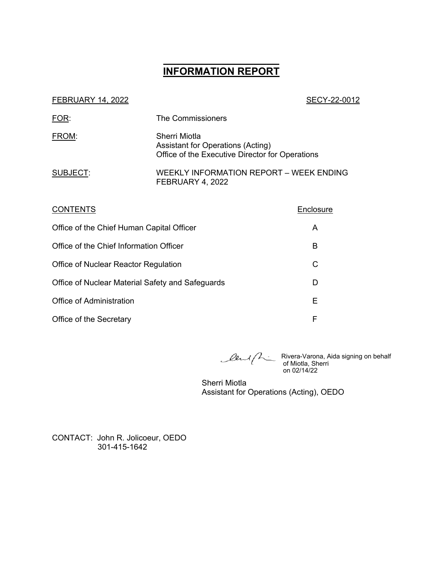# **\_\_\_\_\_\_\_\_\_\_\_\_\_\_\_\_\_\_ INFORMATION REPORT**

| <b>FEBRUARY 14, 2022</b> |
|--------------------------|
|--------------------------|

#### SECY-22-0012

| FOR:     | The Commissioners                                                                                     |
|----------|-------------------------------------------------------------------------------------------------------|
| FROM:    | Sherri Miotla<br>Assistant for Operations (Acting)<br>Office of the Executive Director for Operations |
| SUBJECT: | <b>WEEKLY INFORMATION REPORT - WEEK ENDING</b><br>FEBRUARY 4, 2022                                    |

| <b>CONTENTS</b>                                  | Enclosure |
|--------------------------------------------------|-----------|
| Office of the Chief Human Capital Officer        | A         |
| Office of the Chief Information Officer          | в         |
| Office of Nuclear Reactor Regulation             | C         |
| Office of Nuclear Material Safety and Safeguards | D         |
| <b>Office of Administration</b>                  | Е         |
| Office of the Secretary                          | F         |

Rivera-Varona, Aida signing on behalf of Miotla, Sherri on 02/14/22

Sherri Miotla Assistant for Operations (Acting), OEDO

CONTACT: John R. Jolicoeur, OEDO 301-415-1642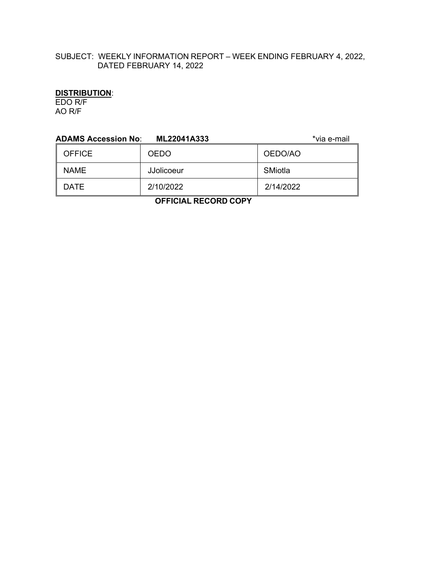## SUBJECT: WEEKLY INFORMATION REPORT – WEEK ENDING FEBRUARY 4, 2022, DATED FEBRUARY 14, 2022

## **DISTRIBUTION**:

EDO R/F AO R/F

| <b>ADAMS Accession No:</b> | ML22041A333 | *via e-mail |
|----------------------------|-------------|-------------|
| <b>OFFICE</b>              | <b>OEDO</b> | OEDO/AO     |
| <b>NAME</b>                | JJolicoeur  | SMiotla     |
| <b>DATE</b>                | 2/10/2022   | 2/14/2022   |
|                            | .           |             |

 **OFFICIAL RECORD COPY**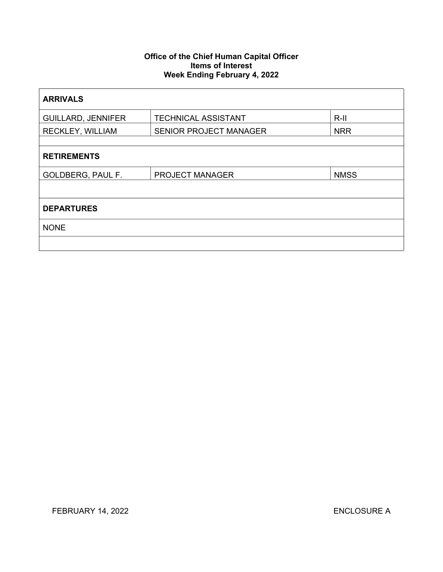## **Office of the Chief Human Capital Officer Items of Interest Week Ending February 4, 2022**

| <b>ARRIVALS</b>           |                               |             |  |
|---------------------------|-------------------------------|-------------|--|
| <b>GUILLARD, JENNIFER</b> | <b>TECHNICAL ASSISTANT</b>    | $R-III$     |  |
| <b>RECKLEY, WILLIAM</b>   | <b>SENIOR PROJECT MANAGER</b> | <b>NRR</b>  |  |
|                           |                               |             |  |
| <b>RETIREMENTS</b>        |                               |             |  |
| <b>GOLDBERG, PAUL F.</b>  | <b>PROJECT MANAGER</b>        | <b>NMSS</b> |  |
|                           |                               |             |  |
| <b>DEPARTURES</b>         |                               |             |  |
| <b>NONE</b>               |                               |             |  |
|                           |                               |             |  |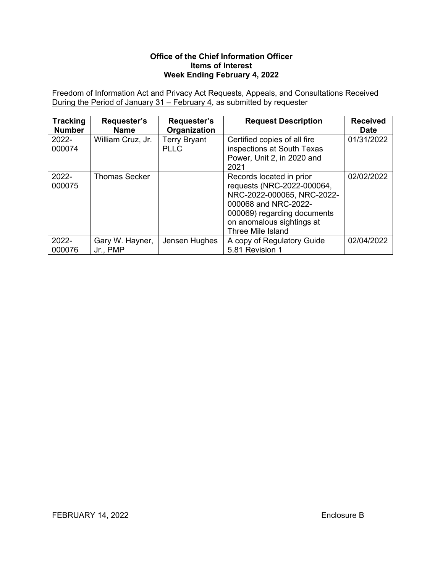## **Office of the Chief Information Officer Items of Interest Week Ending February 4, 2022**

Freedom of Information Act and Privacy Act Requests, Appeals, and Consultations Received During the Period of January 31 – February 4, as submitted by requester

| <b>Tracking</b><br><b>Number</b> | Requester's<br><b>Name</b>  | Requester's<br>Organization        | <b>Request Description</b>                                                                                                                                                                    | <b>Received</b><br><b>Date</b> |
|----------------------------------|-----------------------------|------------------------------------|-----------------------------------------------------------------------------------------------------------------------------------------------------------------------------------------------|--------------------------------|
| $2022 -$<br>000074               | William Cruz, Jr.           | <b>Terry Bryant</b><br><b>PLLC</b> | Certified copies of all fire<br>inspections at South Texas<br>Power, Unit 2, in 2020 and<br>2021                                                                                              | 01/31/2022                     |
| 2022-<br>000075                  | <b>Thomas Secker</b>        |                                    | Records located in prior<br>requests (NRC-2022-000064,<br>NRC-2022-000065, NRC-2022-<br>000068 and NRC-2022-<br>000069) regarding documents<br>on anomalous sightings at<br>Three Mile Island | 02/02/2022                     |
| 2022-<br>000076                  | Gary W. Hayner,<br>Jr., PMP | Jensen Hughes                      | A copy of Regulatory Guide<br>5.81 Revision 1                                                                                                                                                 | 02/04/2022                     |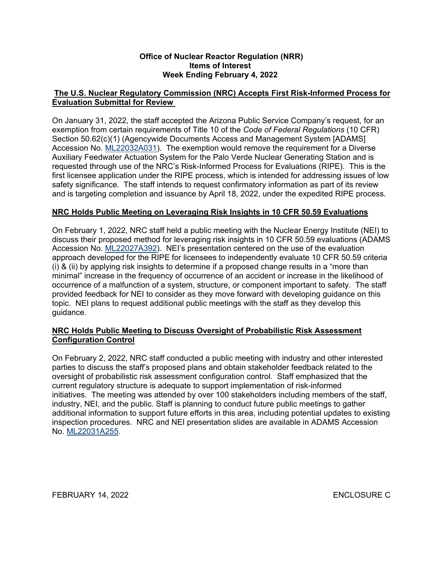## **Office of Nuclear Reactor Regulation (NRR) Items of Interest Week Ending February 4, 2022**

## **The U.S. Nuclear Regulatory Commission (NRC) Accepts First Risk-Informed Process for Evaluation Submittal for Review**

On January 31, 2022, the staff accepted the Arizona Public Service Company's request, for an exemption from certain requirements of Title 10 of the *Code of Federal Regulations* (10 CFR) Section 50.62(c)(1) (Agencywide Documents Access and Management System [ADAMS] Accession No. [ML22032A031\)](https://adamsxt.nrc.gov/navigator/AdamsXT/content/downloadContent.faces?objectStoreName=MainLibrary&vsId=%7bED000052-8413-C138-96A6-7EB567F00000%7d&ForceBrowserDownloadMgrPrompt=false). The exemption would remove the requirement for a Diverse Auxiliary Feedwater Actuation System for the Palo Verde Nuclear Generating Station and is requested through use of the NRC's Risk-Informed Process for Evaluations (RIPE). This is the first licensee application under the RIPE process, which is intended for addressing issues of low safety significance. The staff intends to request confirmatory information as part of its review and is targeting completion and issuance by April 18, 2022, under the expedited RIPE process.

## **NRC Holds Public Meeting on Leveraging Risk Insights in 10 CFR 50.59 Evaluations**

On February 1, 2022, NRC staff held a public meeting with the Nuclear Energy Institute (NEI) to discuss their proposed method for leveraging risk insights in 10 CFR 50.59 evaluations (ADAMS Accession No. [ML22027A392\)](https://adamsxt.nrc.gov/navigator/AdamsXT/content/downloadContent.faces?objectStoreName=MainLibrary&vsId=%7b9F1A5A47-9EDB-CBDC-BF5F-7E9BF9F00000%7d&ForceBrowserDownloadMgrPrompt=false). NEI's presentation centered on the use of the evaluation approach developed for the RIPE for licensees to independently evaluate 10 CFR 50.59 criteria (i) & (ii) by applying risk insights to determine if a proposed change results in a "more than minimal" increase in the frequency of occurrence of an accident or increase in the likelihood of occurrence of a malfunction of a system, structure, or component important to safety. The staff provided feedback for NEI to consider as they move forward with developing guidance on this topic. NEI plans to request additional public meetings with the staff as they develop this guidance.

## **NRC Holds Public Meeting to Discuss Oversight of Probabilistic Risk Assessment Configuration Control**

On February 2, 2022, NRC staff conducted a public meeting with industry and other interested parties to discuss the staff's proposed plans and obtain stakeholder feedback related to the oversight of probabilistic risk assessment configuration control. Staff emphasized that the current regulatory structure is adequate to support implementation of risk-informed initiatives. The meeting was attended by over 100 stakeholders including members of the staff, industry, NEI, and the public. Staff is planning to conduct future public meetings to gather additional information to support future efforts in this area, including potential updates to existing inspection procedures. NRC and NEI presentation slides are available in ADAMS Accession No. [ML22031A255.](https://adamsxt.nrc.gov/navigator/AdamsXT/packagecontent/packageContent.faces?id=%7b96907E44-B904-CE82-8514-7EB1E6500000%7d&objectStoreName=MainLibrary&wId=1643984998602)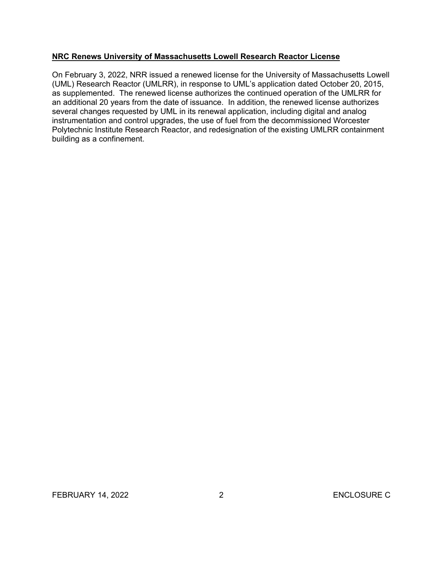## **NRC Renews University of Massachusetts Lowell Research Reactor License**

On February 3, 2022, NRR issued a renewed license for the University of Massachusetts Lowell (UML) Research Reactor (UMLRR), in response to UML's application dated October 20, 2015, as supplemented. The renewed license authorizes the continued operation of the UMLRR for an additional 20 years from the date of issuance. In addition, the renewed license authorizes several changes requested by UML in its renewal application, including digital and analog instrumentation and control upgrades, the use of fuel from the decommissioned Worcester Polytechnic Institute Research Reactor, and redesignation of the existing UMLRR containment building as a confinement.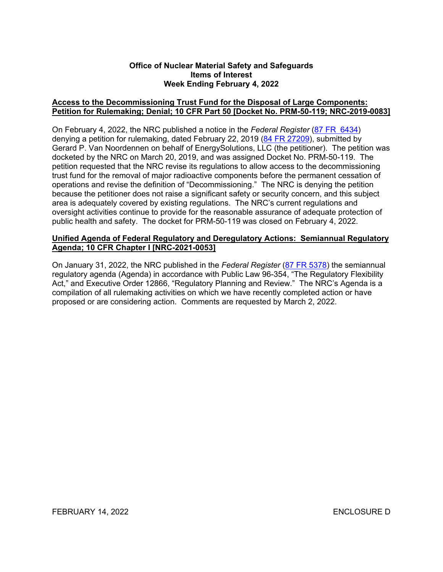#### **Office of Nuclear Material Safety and Safeguards Items of Interest Week Ending February 4, 2022**

## **Access to the Decommissioning Trust Fund for the Disposal of Large Components: Petition for Rulemaking; Denial; 10 CFR Part 50 [Docket No. PRM-50-119; NRC-2019-0083]**

On February 4, 2022, the NRC published a notice in the *Federal Register* ([87 FR 6434](https://www.federalregister.gov/d/2022-01685)) denying a petition for rulemaking, dated February 22, 2019 [\(84 FR 27209\)](https://www.federalregister.gov/d/2019-12342), submitted by Gerard P. Van Noordennen on behalf of EnergySolutions, LLC (the petitioner). The petition was docketed by the NRC on March 20, 2019, and was assigned Docket No. PRM-50-119. The petition requested that the NRC revise its regulations to allow access to the decommissioning trust fund for the removal of major radioactive components before the permanent cessation of operations and revise the definition of "Decommissioning." The NRC is denying the petition because the petitioner does not raise a significant safety or security concern, and this subject area is adequately covered by existing regulations. The NRC's current regulations and oversight activities continue to provide for the reasonable assurance of adequate protection of public health and safety. The docket for PRM-50-119 was closed on February 4, 2022.

## **Unified Agenda of Federal Regulatory and Deregulatory Actions: Semiannual Regulatory Agenda; 10 CFR Chapter I [NRC-2021-0053]**

On January 31, 2022, the NRC published in the *Federal Register* [\(87 FR 5378\)](https://www.federalregister.gov/d/2021-27962) the semiannual regulatory agenda (Agenda) in accordance with Public Law 96-354, "The Regulatory Flexibility Act," and Executive Order 12866, "Regulatory Planning and Review." The NRC's Agenda is a compilation of all rulemaking activities on which we have recently completed action or have proposed or are considering action. Comments are requested by March 2, 2022.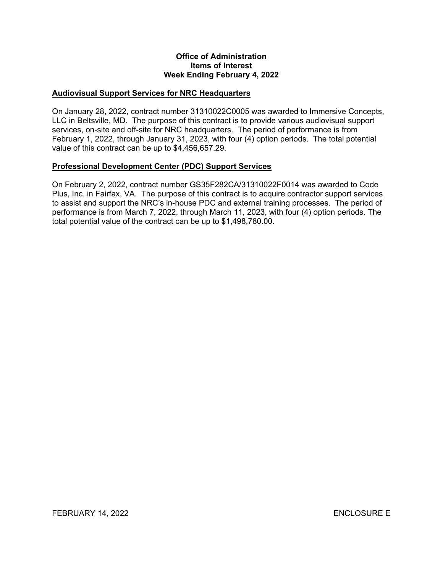#### **Office of Administration Items of Interest Week Ending February 4, 2022**

## **Audiovisual Support Services for NRC Headquarters**

On January 28, 2022, contract number 31310022C0005 was awarded to Immersive Concepts, LLC in Beltsville, MD. The purpose of this contract is to provide various audiovisual support services, on-site and off-site for NRC headquarters. The period of performance is from February 1, 2022, through January 31, 2023, with four (4) option periods. The total potential value of this contract can be up to \$4,456,657.29.

## **Professional Development Center (PDC) Support Services**

On February 2, 2022, contract number GS35F282CA/31310022F0014 was awarded to Code Plus, Inc. in Fairfax, VA. The purpose of this contract is to acquire contractor support services to assist and support the NRC's in-house PDC and external training processes. The period of performance is from March 7, 2022, through March 11, 2023, with four (4) option periods. The total potential value of the contract can be up to \$1,498,780.00.